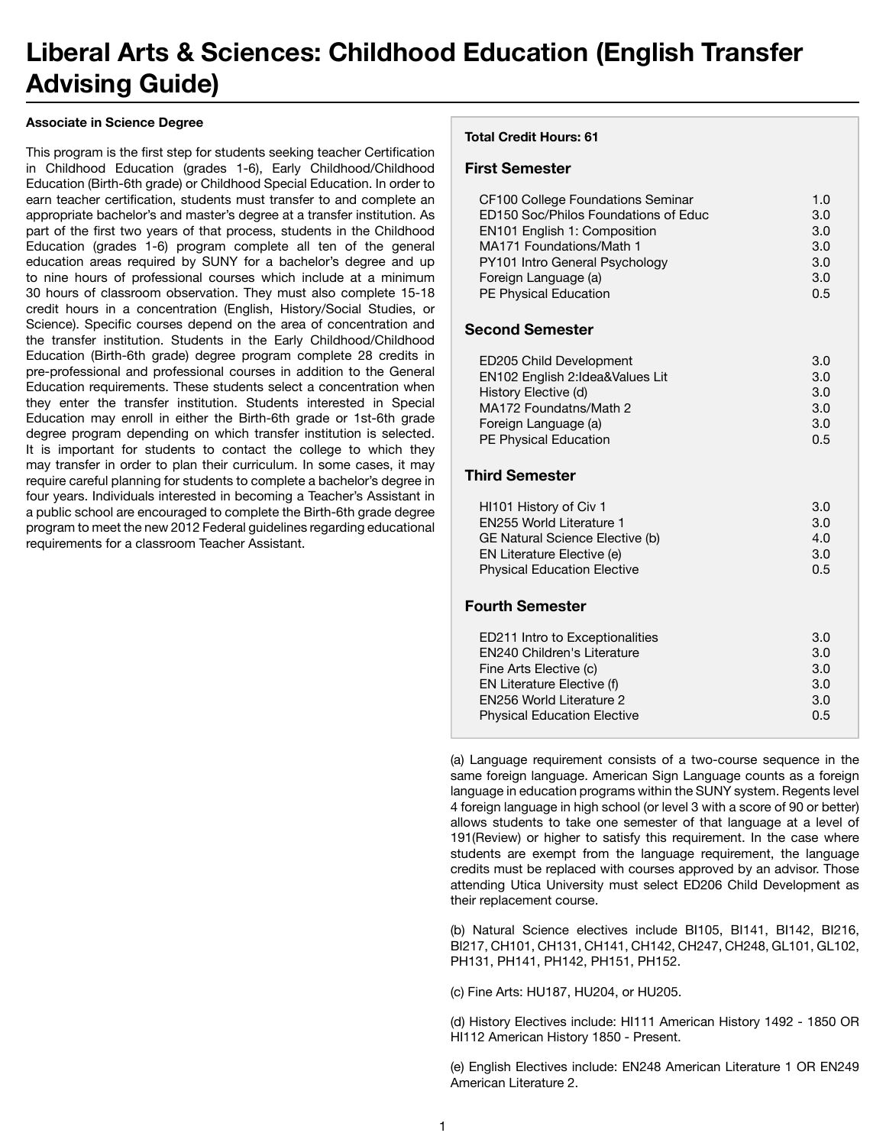# **Liberal Arts & Sciences: Childhood Education (English Transfer Advising Guide)**

#### **Associate in Science Degree**

This program is the first step for students seeking teacher Certification in Childhood Education (grades 1-6), Early Childhood/Childhood Education (Birth-6th grade) or Childhood Special Education. In order to earn teacher certification, students must transfer to and complete an appropriate bachelor's and master's degree at a transfer institution. As part of the first two years of that process, students in the Childhood Education (grades 1-6) program complete all ten of the general education areas required by SUNY for a bachelor's degree and up to nine hours of professional courses which include at a minimum 30 hours of classroom observation. They must also complete 15-18 credit hours in a concentration (English, History/Social Studies, or Science). Specific courses depend on the area of concentration and the transfer institution. Students in the Early Childhood/Childhood Education (Birth-6th grade) degree program complete 28 credits in pre-professional and professional courses in addition to the General Education requirements. These students select a concentration when they enter the transfer institution. Students interested in Special Education may enroll in either the Birth-6th grade or 1st-6th grade degree program depending on which transfer institution is selected. It is important for students to contact the college to which they may transfer in order to plan their curriculum. In some cases, it may require careful planning for students to complete a bachelor's degree in four years. Individuals interested in becoming a Teacher's Assistant in a public school are encouraged to complete the Birth-6th grade degree program to meet the new 2012 Federal guidelines regarding educational requirements for a classroom Teacher Assistant.

#### **Total Credit Hours: 61**

### **First Semester**

| CF100 College Foundations Seminar    | 1. $\Omega$ |
|--------------------------------------|-------------|
| ED150 Soc/Philos Foundations of Educ | 3.0         |
| EN101 English 1: Composition         | 3.0         |
| MA171 Foundations/Math 1             | 3.0         |
| PY101 Intro General Psychology       | 3.0         |
| Foreign Language (a)                 | 3.0         |
| PE Physical Education                | 0.5         |

# **Second Semester**

| ED205 Child Development           | 3.0 |
|-----------------------------------|-----|
| EN102 English 2: Idea& Values Lit | 3.0 |
| History Elective (d)              | 3.0 |
| MA172 Foundatns/Math 2            | 3.0 |
| Foreign Language (a)              | 3.0 |
| PE Physical Education             | 0.5 |

# **Third Semester**

| HI101 History of Civ 1             | 3.0 |
|------------------------------------|-----|
| <b>EN255 World Literature 1</b>    | 3.0 |
| GE Natural Science Elective (b)    | 4.0 |
| EN Literature Elective (e)         | 3.0 |
| <b>Physical Education Elective</b> | 0.5 |
| <b>Fourth Semester</b>             |     |
| ED211 Intro to Exceptionalities    | 3.0 |
| <b>EN240 Children's Literature</b> | 3.0 |
| Fine Arts Elective (c)             | 3.0 |
| EN Literature Elective (f)         | 3.0 |
| <b>FN256 World Literature 2</b>    | 3.0 |
| <b>Physical Education Elective</b> | 0.5 |

(a) Language requirement consists of a two-course sequence in the same foreign language. American Sign Language counts as a foreign language in education programs within the SUNY system. Regents level 4 foreign language in high school (or level 3 with a score of 90 or better) allows students to take one semester of that language at a level of 191(Review) or higher to satisfy this requirement. In the case where students are exempt from the language requirement, the language credits must be replaced with courses approved by an advisor. Those attending Utica University must select ED206 Child Development as their replacement course.

(b) Natural Science electives include BI105, BI141, BI142, BI216, BI217, CH101, CH131, CH141, CH142, CH247, CH248, GL101, GL102, PH131, PH141, PH142, PH151, PH152.

(c) Fine Arts: HU187, HU204, or HU205.

(d) History Electives include: HI111 American History 1492 - 1850 OR HI112 American History 1850 - Present.

(e) English Electives include: EN248 American Literature 1 OR EN249 American Literature 2.